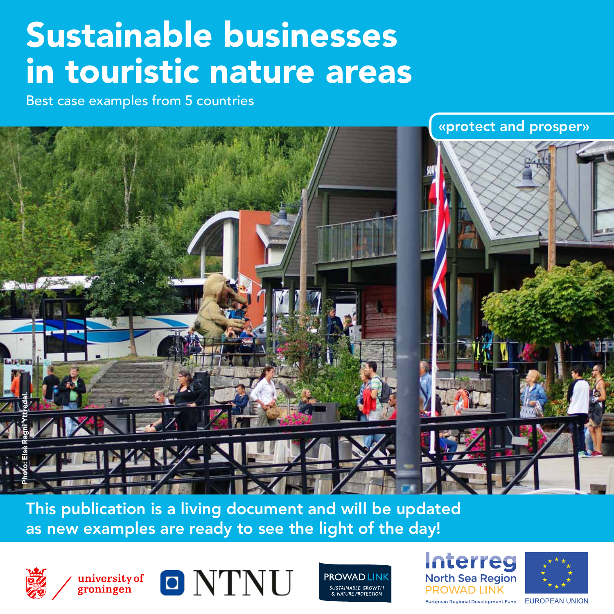## Sustainable businesses in touristic nature areas

Best case examples from 5 countries



This publication is a living document and will be updated as new examples are ready to see the light of the day!







**PROWAD LINK** SUSTAINABLE GROWTH **NATURE PROTECTION** 





European Regional Development Fund EUROPEAN UNION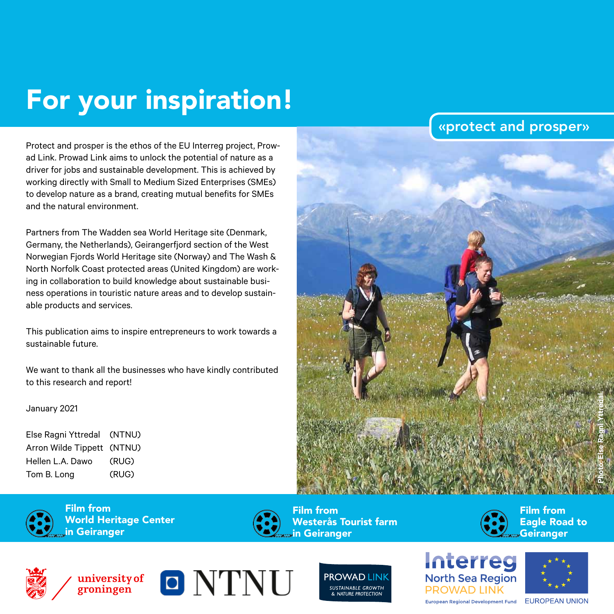## For your inspiration!

Protect and prosper is the ethos of the EU Interreg project, Prowad Link. Prowad Link aims to unlock the potential of nature as a driver for jobs and sustainable development. This is achieved by working directly with Small to Medium Sized Enterprises (SMEs) to develop nature as a brand, creating mutual benefits for SMEs and the natural environment.

Partners from The Wadden sea World Heritage site (Denmark, Germany, the Netherlands), Geirangerfjord section of the West Norwegian Fjords World Heritage site (Norway) and The Wash & North Norfolk Coast protected areas (United Kingdom) are working in collaboration to build knowledge about sustainable business operations in touristic nature areas and to develop sustainable products and services.

This publication aims to inspire entrepreneurs to work towards a sustainable future.

We want to thank all the businesses who have kindly contributed to this research and report!

#### January 2021

Else Ragni Yttredal (NTNU) Arron Wilde Tippett (NTNU) Hellen L.A. Dawo (RUG) Tom B. Long (RUG)





Film from World Heritage Center in Geiranger



Film from Westerås Tourist farm in Geiranger



«protect and prosper»

Film from Eagle Road to **Geiranger** 







**PROWAD LINK** SUSTAINABLE GROWTH

**PROWAD LINK** European Regional Development Fund EUROPEAN UNION

Interreg

**North Sea Region**